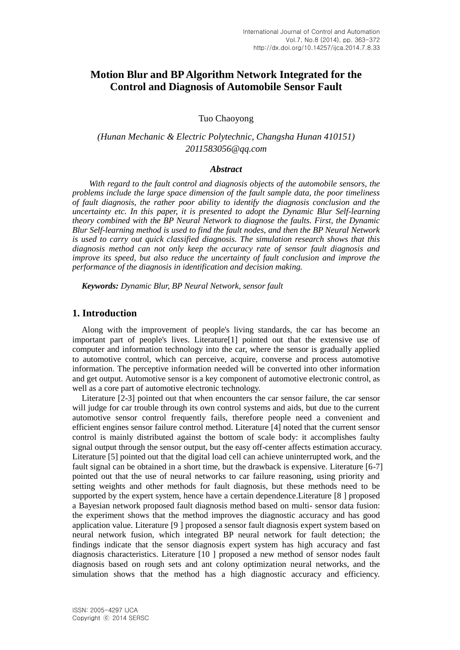# **Motion Blur and BP Algorithm Network Integrated for the Control and Diagnosis of Automobile Sensor Fault**

Tuo Chaoyong

*(Hunan Mechanic & Electric Polytechnic, Changsha Hunan 410151) 2011583056@qq.com*

### *Abstract*

*With regard to the fault control and diagnosis objects of the automobile sensors, the problems include the large space dimension of the fault sample data, the poor timeliness of fault diagnosis, the rather poor ability to identify the diagnosis conclusion and the uncertainty etc. In this paper, it is presented to adopt the Dynamic Blur Self-learning theory combined with the BP Neural Network to diagnose the faults. First, the Dynamic Blur Self-learning method is used to find the fault nodes, and then the BP Neural Network is used to carry out quick classified diagnosis. The simulation research shows that this diagnosis method can not only keep the accuracy rate of sensor fault diagnosis and improve its speed, but also reduce the uncertainty of fault conclusion and improve the performance of the diagnosis in identification and decision making.*

*Keywords: Dynamic Blur, BP Neural Network, sensor fault*

### **1. Introduction**

Along with the improvement of people's living standards, the car has become an important part of people's lives. Literature[1] pointed out that the extensive use of computer and information technology into the car, where the sensor is gradually applied to automotive control, which can perceive, acquire, converse and process automotive information. The perceptive information needed will be converted into other information and get output. Automotive sensor is a key component of automotive electronic control, as well as a core part of automotive electronic technology.

Literature [2-3] pointed out that when encounters the car sensor failure, the car sensor will judge for car trouble through its own control systems and aids, but due to the current automotive sensor control frequently fails, therefore people need a convenient and efficient engines sensor failure control method. Literature [4] noted that the current sensor control is mainly distributed against the bottom of scale body: it accomplishes faulty signal output through the sensor output, but the easy off-center affects estimation accuracy. Literature [5] pointed out that the digital load cell can achieve uninterrupted work, and the fault signal can be obtained in a short time, but the drawback is expensive. Literature [6-7] pointed out that the use of neural networks to car failure reasoning, using priority and setting weights and other methods for fault diagnosis, but these methods need to be supported by the expert system, hence have a certain dependence.Literature [8 ] proposed a Bayesian network proposed fault diagnosis method based on multi- sensor data fusion: the experiment shows that the method improves the diagnostic accuracy and has good application value. Literature [9 ] proposed a sensor fault diagnosis expert system based on neural network fusion, which integrated BP neural network for fault detection; the findings indicate that the sensor diagnosis expert system has high accuracy and fast diagnosis characteristics. Literature [10 ] proposed a new method of sensor nodes fault diagnosis based on rough sets and ant colony optimization neural networks, and the simulation shows that the method has a high diagnostic accuracy and efficiency.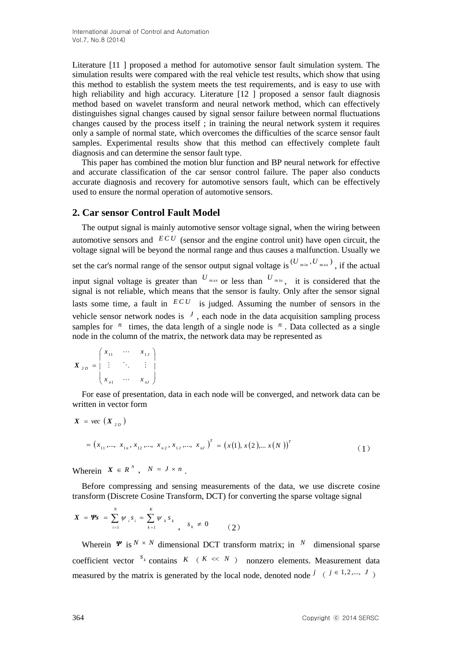Literature [11 ] proposed a method for automotive sensor fault simulation system. The simulation results were compared with the real vehicle test results, which show that using this method to establish the system meets the test requirements, and is easy to use with high reliability and high accuracy. Literature [12 ] proposed a sensor fault diagnosis method based on wavelet transform and neural network method, which can effectively distinguishes signal changes caused by signal sensor failure between normal fluctuations changes caused by the process itself ; in training the neural network system it requires only a sample of normal state, which overcomes the difficulties of the scarce sensor fault samples. Experimental results show that this method can effectively complete fault diagnosis and can determine the sensor fault type.

This paper has combined the motion blur function and BP neural network for effective and accurate classification of the car sensor control failure. The paper also conducts accurate diagnosis and recovery for automotive sensors fault, which can be effectively used to ensure the normal operation of automotive sensors.

## **2. Car sensor Control Fault Model**

The output signal is mainly automotive sensor voltage signal, when the wiring between automotive sensors and  $ECU$  (sensor and the engine control unit) have open circuit, the voltage signal will be beyond the normal range and thus causes a malfunction. Usually we set the car's normal range of the sensor output signal voltage is  $^{(U_{\min}, U_{\max})}$ , if the actual input signal voltage is greater than  $U_{\text{max}}$  or less than  $U_{\text{min}}$ , it is considered that the signal is not reliable, which means that the sensor is faulty. Only after the sensor signal lasts some time, a fault in  $ECU$  is judged. Assuming the number of sensors in the vehicle sensor network nodes is  $J$ , each node in the data acquisition sampling process samples for  $n$  times, the data length of a single node is  $n$ . Data collected as a single node in the column of the matrix, the network data may be represented as

$$
\boldsymbol{X}_{2D} = \begin{pmatrix} x_{11} & \cdots & x_{1J} \\ \vdots & \ddots & \vdots \\ x_{n1} & \cdots & x_{nJ} \end{pmatrix}
$$

For ease of presentation, data in each node will be converged, and network data can be written in vector form

$$
X = vec(X_{2D})
$$
  
=  $(x_{11},..., x_{1n}, x_{12},..., x_{n2}, x_{1J},..., x_{nj})^T = (x(1), x(2),..., x(N))^T$  (1)

Wherein  $X \in R^N$ ,  $N = J \times n$ .

Before compressing and sensing measurements of the data, we use discrete cosine transform (Discrete Cosine Transform, DCT) for converting the sparse voltage signal

$$
X = \mathbf{\Psi} s = \sum_{i=1}^{N} \psi_i s_i = \sum_{k=1}^{K} \psi_k s_k, \quad s_k \neq 0 \tag{2}
$$

Wherein  $\Psi$  is  $N \times N$  dimensional DCT transform matrix; in  $N$  dimensional sparse coefficient vector  $s_k$  contains  $K$  ( $K \ll N$ ) nonzero elements. Measurement data measured by the matrix is generated by the local node, denoted node  $j \in \{j \in \{1, 2, ..., J\} \}$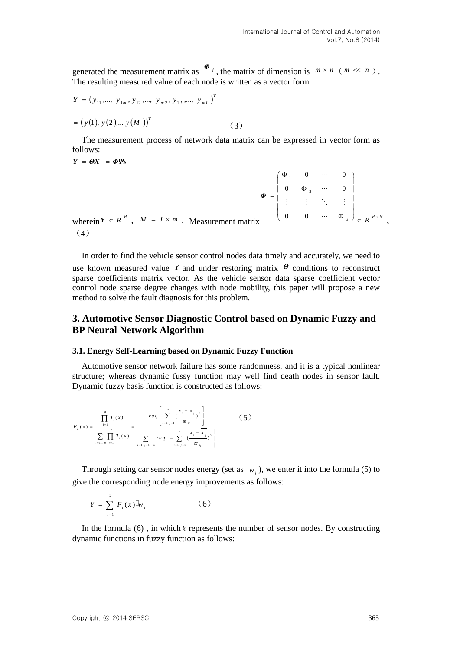generated the measurement matrix as  $\Phi_j$ , the matrix of dimension is  $m \times n$  ( $m \ll n$ ). The resulting measured value of each node is written as a vector form

$$
\mathbf{Y} = (y_{11}, \dots, y_{1m}, y_{12}, \dots, y_{m2}, y_{1J}, \dots, y_{mJ})^T
$$
  
=  $(y(1), y(2), \dots, y(M))^T$  (3)

The measurement process of network data matrix can be expressed in vector form as follows:

*Y ΘX ΦΨs*

$$
\Phi = \begin{pmatrix} \Phi_1 & 0 & \cdots & 0 \\ 0 & \Phi_2 & \cdots & 0 \\ \vdots & \vdots & \ddots & \vdots \\ 0 & 0 & \cdots & \Phi_J \end{pmatrix}_{\in R^{M \times N}}
$$
\n(4)

In order to find the vehicle sensor control nodes data timely and accurately, we need to use known measured value Y and under restoring matrix  $\theta$  conditions to reconstruct sparse coefficients matrix vector. As the vehicle sensor data sparse coefficient vector control node sparse degree changes with node mobility, this paper will propose a new method to solve the fault diagnosis for this problem.

# **3. Automotive Sensor Diagnostic Control based on Dynamic Fuzzy and BP Neural Network Algorithm**

### **3.1. Energy Self-Learning based on Dynamic Fuzzy Function**

Automotive sensor network failure has some randomness, and it is a typical nonlinear structure; whereas dynamic fussy function may well find death nodes in sensor fault. Dynamic fuzzy basis function is constructed as follows:

 $\mathcal{L}$ 

$$
F_n(x) = \frac{\prod_{i=1}^n T_i(x)}{\sum_{i=1,\dots n} \prod_{i=1}^n T_i(x)} = \frac{ruq \left[ \sum_{i=1,\ j=1}^n \left( \frac{x_i - \overline{x_j}}{\varpi_{ij}} \right)^2 \right]}{\sum_{i=1,\ j=1,\dots n} ruq \left[ -\sum_{i=1,\ j=1}^n \left( \frac{x_i - \overline{x_j}}{\varpi_{ij}} \right)^2 \right]}
$$
(5)

Through setting car sensor nodes energy (set as  $w_i$ ), we enter it into the formula (5) to give the corresponding node energy improvements as follows:

$$
Y = \sum_{i=1}^{k} F_i(x) \mathbb{I}_{W_i}
$$
 (6)

In the formula  $(6)$ , in which  $k$  represents the number of sensor nodes. By constructing dynamic functions in fuzzy function as follows: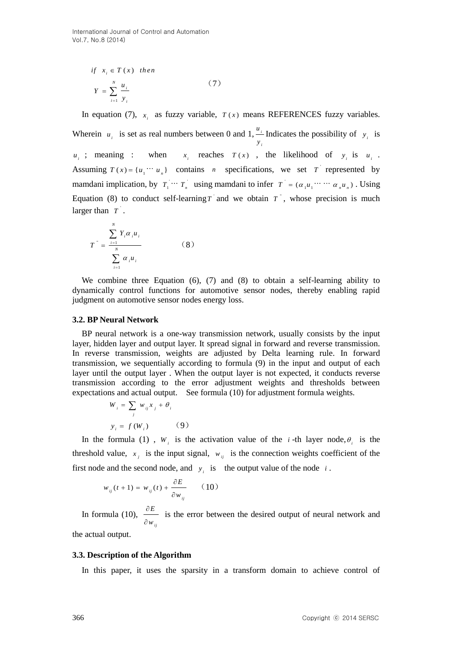$$
if xi \in T(x) then
$$
  

$$
Y = \sum_{i=1}^{N} \frac{u_i}{y_i}
$$
 (7)

In equation (7),  $x_i$  as fuzzy variable,  $T(x)$  means REFERENCES fuzzy variables. Wherein  $u_i$  is set as real numbers between 0 and 1,  $\frac{u_i}{u_i}$ *i y* Indicates the possibility of  $y_i$  is  $u_i$ ; meaning : when  $x_i$  reaches  $T(x)$ , the likelihood of  $y_i$  is  $u_i$ . Assuming  $T(x) = \{u_1 \cdots u_n\}$  contains *n* specifications, we set *T* represented by mamdani implication, by  $T_1 \cdots T_n$  using mamdani to infer  $T = (\alpha_1 u_1 \cdots \cdots \alpha_n u_n)$ . Using Equation (8) to conduct self-learning *T* and we obtain *T*, whose precision is much larger than  $T$ .

$$
T^{\dagger} = \frac{\sum_{i=1}^{N} Y_i \alpha_i u_i}{\sum_{i=1}^{N} \alpha_i u_i} \tag{8}
$$

We combine three Equation (6), (7) and (8) to obtain a self-learning ability to dynamically control functions for automotive sensor nodes, thereby enabling rapid judgment on automotive sensor nodes energy loss.

#### **3.2. BP Neural Network**

BP neural network is a one-way transmission network, usually consists by the input layer, hidden layer and output layer. It spread signal in forward and reverse transmission. In reverse transmission, weights are adjusted by Delta learning rule. In forward transmission, we sequentially according to formula (9) in the input and output of each layer until the output layer . When the output layer is not expected, it conducts reverse transmission according to the error adjustment weights and thresholds between expectations and actual output. See formula (10) for adjustment formula weights.

$$
W_i = \sum_j w_{ij} x_j + \theta_i
$$
  

$$
y_i = f(W_i)
$$
 (9)

In the formula (1),  $W_i$  is the activation value of the *i*-th layer node,  $\theta_i$  is the threshold value,  $x_j$  is the input signal,  $w_{ij}$  is the connection weights coefficient of the first node and the second node, and  $y_i$  is the output value of the node *i*.

$$
w_{ij}(t+1) = w_{ij}(t) + \frac{\partial E}{\partial w_{ij}} \qquad (10)
$$

In formula (10), *ij E w*  $\hat{o}$  $\partial$ is the error between the desired output of neural network and

the actual output.

#### **3.3. Description of the Algorithm**

In this paper, it uses the sparsity in a transform domain to achieve control of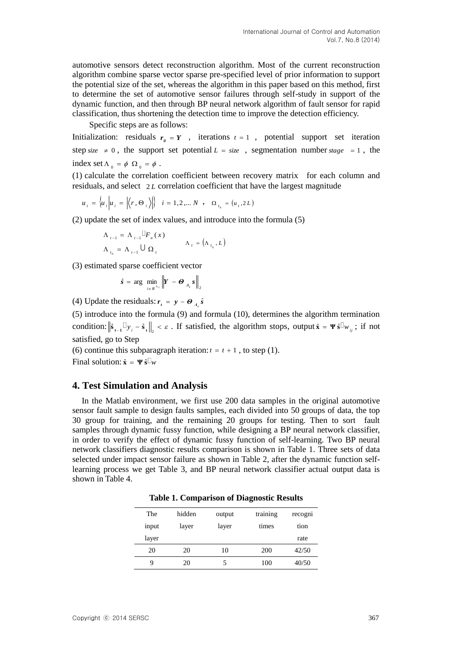automotive sensors detect reconstruction algorithm. Most of the current reconstruction algorithm combine sparse vector sparse pre-specified level of prior information to support the potential size of the set, whereas the algorithm in this paper based on this method, first to determine the set of automotive sensor failures through self-study in support of the dynamic function, and then through BP neural network algorithm of fault sensor for rapid classification, thus shortening the detection time to improve the detection efficiency.

Specific steps are as follows:

Initialization: residuals  $r<sub>0</sub> = Y$ , iterations  $t = 1$ , potential support set iteration step  $size \neq 0$ , the support set potential  $L = size$ , segmentation number  $stage = 1$ , the index set  $\Lambda_0 = \phi \Omega_0 = \phi$ .

(1) calculate the correlation coefficient between recovery matrix for each column and residuals, and select 2 *L* correlation coefficient that have the largest magnitude

$$
u_{t} = \left\{ u_{i} \middle| u_{i} = \left| \left\langle r, \Theta_{i} \right\rangle \right| \right\} \quad i = 1, 2, \dots N \quad , \quad \Omega_{t_{0}} = \left( u_{t}, 2L \right)
$$

(2) update the set of index values, and introduce into the formula (5)

$$
\Lambda_{t-1} = \Lambda_{t-1} \Box F_n(x)
$$
  

$$
\Lambda_{t_0} = \Lambda_{t-1} \cup \Omega_t
$$
  

$$
\Lambda_t = (\Lambda_{t_0}, L)
$$

(3) estimated sparse coefficient vector

$$
\hat{s} = \arg \min_{i \in R^{\Lambda_t}} \left\| \bm{Y} - \bm{\Theta}_{A_t} \bm{s} \right\|_2
$$

(4) Update the residuals:  $r_t = y - \theta_{A_t} \hat{s}$ 

(5) introduce into the formula (9) and formula (10), determines the algorithm termination condition:  $\|\hat{\mathbf{s}}_{t-1}\|^2 y_i - \hat{\mathbf{s}}_t\|^2 \leq \varepsilon$ . If satisfied, the algorithm stops, output  $\hat{\mathbf{x}} = \Psi \hat{\mathbf{s}} \mathbb{I}_{w_{ij}}$ ; if not satisfied, go to Step

(6) continue this subparagraph iteration:  $t = t + 1$ , to step (1).

Final solution:  $\hat{\mathbf{x}} = \mathbf{\Psi} \hat{\mathbf{s}}^{\mathbb{I}} w$ 

## **4. Test Simulation and Analysis**

In the Matlab environment, we first use 200 data samples in the original automotive sensor fault sample to design faults samples, each divided into 50 groups of data, the top 30 group for training, and the remaining 20 groups for testing. Then to sort fault samples through dynamic fussy function, while designing a BP neural network classifier, in order to verify the effect of dynamic fussy function of self-learning. Two BP neural network classifiers diagnostic results comparison is shown in Table 1. Three sets of data selected under impact sensor failure as shown in Table 2, after the dynamic function selflearning process we get Table 3, and BP neural network classifier actual output data is shown in Table 4.

| The   | hidden | output | training | recogni |
|-------|--------|--------|----------|---------|
| input | layer  | layer  | times    | tion    |
| layer |        |        |          | rate    |
| 20    | 20     | 10     | 200      | 42/50   |
| 9     | 20     |        | 100      | 40/50   |

**Table 1. Comparison of Diagnostic Results**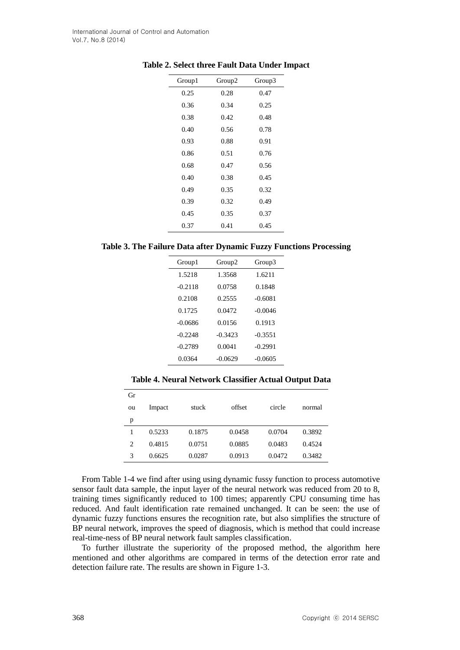| Group1 | Group2 | Group3 |
|--------|--------|--------|
| 0.25   | 0.28   | 0.47   |
| 0.36   | 0.34   | 0.25   |
| 0.38   | 0.42   | 0.48   |
| 0.40   | 0.56   | 0.78   |
| 0.93   | 0.88   | 0.91   |
| 0.86   | 0.51   | 0.76   |
| 0.68   | 0.47   | 0.56   |
| 0.40   | 0.38   | 0.45   |
| 0.49   | 0.35   | 0.32   |
| 0.39   | 0.32   | 0.49   |
| 0.45   | 0.35   | 0.37   |
| 0.37   | 0.41   | 0.45   |

#### **Table 2. Select three Fault Data Under Impact**

**Table 3. The Failure Data after Dynamic Fuzzy Functions Processing**

| Group1    | Group2    | Group3    |  |
|-----------|-----------|-----------|--|
| 1.5218    | 1.3568    | 1.6211    |  |
| $-0.2118$ | 0.0758    | 0.1848    |  |
| 0.2108    | 0.2555    | $-0.6081$ |  |
| 0.1725    | 0.0472    | $-0.0046$ |  |
| $-0.0686$ | 0.0156    | 0.1913    |  |
| $-0.2248$ | $-0.3423$ | $-0.3551$ |  |
| $-0.2789$ | 0.0041    | $-0.2991$ |  |
| 0.0364    | $-0.0629$ | $-0.0605$ |  |

**Table 4. Neural Network Classifier Actual Output Data**

| Gr |        |        |        |        |        |
|----|--------|--------|--------|--------|--------|
| ou | Impact | stuck  | offset | circle | normal |
| p  |        |        |        |        |        |
|    | 0.5233 | 0.1875 | 0.0458 | 0.0704 | 0.3892 |
| 2  | 0.4815 | 0.0751 | 0.0885 | 0.0483 | 0.4524 |
| 3  | 0.6625 | 0.0287 | 0.0913 | 0.0472 | 0.3482 |

From Table 1-4 we find after using using dynamic fussy function to process automotive sensor fault data sample, the input layer of the neural network was reduced from 20 to 8, training times significantly reduced to 100 times; apparently CPU consuming time has reduced. And fault identification rate remained unchanged. It can be seen: the use of dynamic fuzzy functions ensures the recognition rate, but also simplifies the structure of BP neural network, improves the speed of diagnosis, which is method that could increase real-time-ness of BP neural network fault samples classification.

To further illustrate the superiority of the proposed method, the algorithm here mentioned and other algorithms are compared in terms of the detection error rate and detection failure rate. The results are shown in Figure 1-3.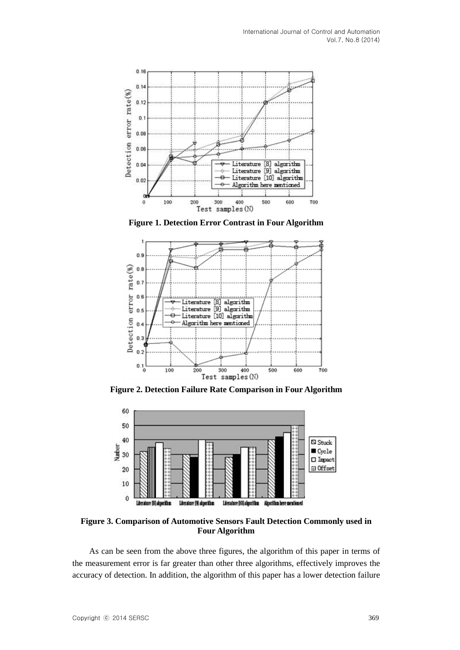

**Figure 1. Detection Error Contrast in Four Algorithm**



**Figure 2. Detection Failure Rate Comparison in Four Algorithm**



**Figure 3. Comparison of Automotive Sensors Fault Detection Commonly used in Four Algorithm** 

As can be seen from the above three figures, the algorithm of this paper in terms of the measurement error is far greater than other three algorithms, effectively improves the accuracy of detection. In addition, the algorithm of this paper has a lower detection failure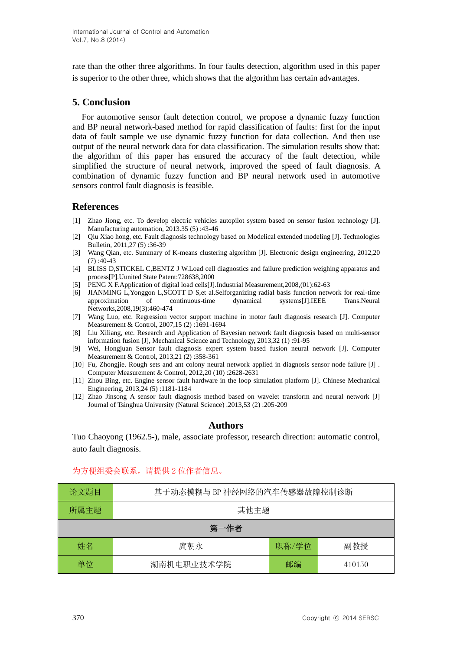rate than the other three algorithms. In four faults detection, algorithm used in this paper is superior to the other three, which shows that the algorithm has certain advantages.

# **5. Conclusion**

For automotive sensor fault detection control, we propose a dynamic fuzzy function and BP neural network-based method for rapid classification of faults: first for the input data of fault sample we use dynamic fuzzy function for data collection. And then use output of the neural network data for data classification. The simulation results show that: the algorithm of this paper has ensured the accuracy of the fault detection, while simplified the structure of neural network, improved the speed of fault diagnosis. A combination of dynamic fuzzy function and BP neural network used in automotive sensors control fault diagnosis is feasible.

## **References**

- [1] Zhao Jiong, etc. To develop electric vehicles autopilot system based on sensor fusion technology [J]. Manufacturing automation, 2013.35 (5) :43-46
- [2] Qiu Xiao hong, etc. Fault diagnosis technology based on Modelical extended modeling [J]. Technologies Bulletin, 2011,27 (5) :36-39
- [3] Wang Qian, etc. Summary of K-means clustering algorithm [J]. Electronic design engineering, 2012,20  $(7)$ :40-43
- [4] BLISS D,STICKEL C,BENTZ J W.Load cell diagnostics and failure prediction weighing apparatus and process[P].Uunited State Patent:728638,2000
- [5] PENG X F.Application of digital load cells[J].Industrial Measurement,2008,(01):62-63
- [6] JIANMING L,Yonggon L,SCOTT D S,et al.Selforganizing radial basis function network for real-time approximation of continuous-time dynamical systems[J].IEEE Trans.Neural Networks,2008,19(3):460-474
- [7] Wang Luo, etc. Regression vector support machine in motor fault diagnosis research [J]. Computer Measurement & Control, 2007,15 (2) :1691-1694
- [8] Liu Xiliang, etc. Research and Application of Bayesian network fault diagnosis based on multi-sensor information fusion [J], Mechanical Science and Technology, 2013,32 (1) :91-95
- [9] Wei, Hongjuan Sensor fault diagnosis expert system based fusion neural network [J]. Computer Measurement & Control, 2013,21 (2) :358-361
- [10] Fu, Zhongjie. Rough sets and ant colony neural network applied in diagnosis sensor node failure [J] . Computer Measurement & Control, 2012,20 (10) :2628-2631
- [11] Zhou Bing, etc. Engine sensor fault hardware in the loop simulation platform [J]. Chinese Mechanical Engineering, 2013,24 (5) :1181-1184
- [12] Zhao Jinsong A sensor fault diagnosis method based on wavelet transform and neural network [J] Journal of Tsinghua University (Natural Science) .2013,53 (2) :205-209

# **Authors**

Tuo Chaoyong (1962.5-), male, associate professor, research direction: automatic control, auto fault diagnosis.

## 为方便组委会联系,请提供 2 位作者信息。

| 论文题目 | 基于动态模糊与 BP 神经网络的汽车传感器故障控制诊断 |       |        |  |
|------|-----------------------------|-------|--------|--|
| 所属主题 | 其他主题                        |       |        |  |
| 第一作者 |                             |       |        |  |
| 姓名   | 庹朝永                         | 职称/学位 | 副教授    |  |
| 单位   | 湖南机电职业技术学院                  | 邮编    | 410150 |  |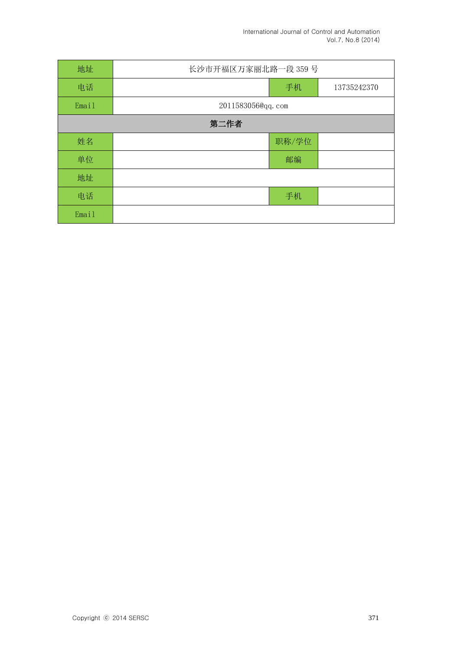| 地址    | 长沙市开福区万家丽北路一段 359号 |       |             |  |
|-------|--------------------|-------|-------------|--|
| 电话    |                    | 手机    | 13735242370 |  |
| Email | 2011583056@qq.com  |       |             |  |
| 第二作者  |                    |       |             |  |
| 姓名    |                    | 职称/学位 |             |  |
| 单位    |                    | 邮编    |             |  |
| 地址    |                    |       |             |  |
| 电话    |                    | 手机    |             |  |
| Email |                    |       |             |  |